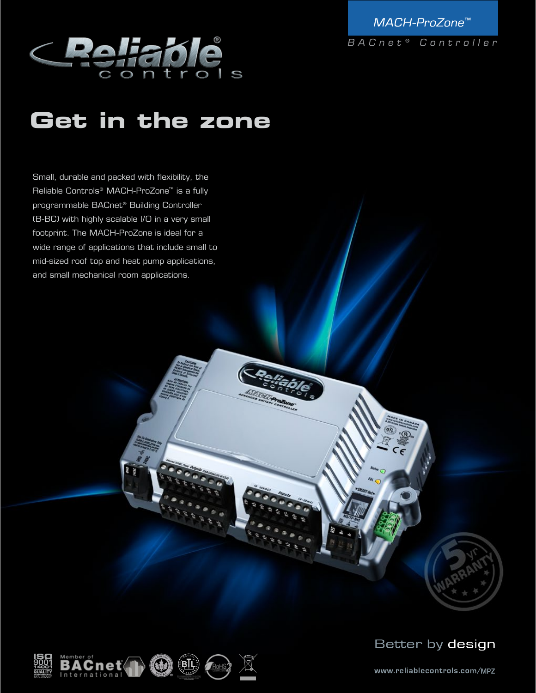

MACH-ProZone<sup>™</sup> BACnet<sup>®</sup> Controller

# **Get in the zone**

Small, durable and packed with flexibility, the Reliable Controls® MACH-ProZone™ is a fully programmable BACnet® Building Controller (B-BC) with highly scalable I/O in a very small footprint. The MACH-ProZone is ideal for a wide range of applications that include small to mid-sized roof top and heat pump applications, and small mechanical room applications.





www.reliablecontrols.com/[MPZ](http://www.reliablecontrols.com/MPZ/)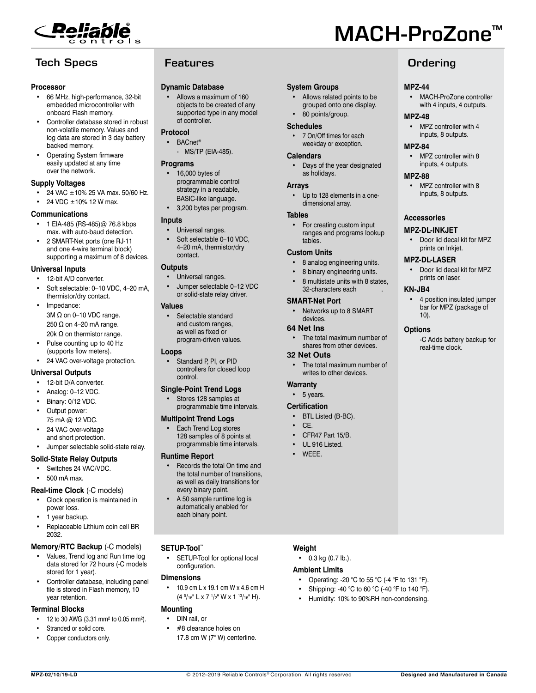

# **Tech Specs Features Contains Container Container Container Container Container Container Container Container**

#### **Processor**

- 66 MHz, high-performance, 32-bit embedded microcontroller with onboard Flash memory.
- Controller database stored in robust non-volatile memory. Values and log data are stored in 3 day battery backed memory.
- Operating System firmware easily updated at any time over the network.

#### **Supply Voltages**

- 24 VAC  $\pm 10\%$  25 VA max. 50/60 Hz.
- 24 VDC ±10% 12 W max.

#### **Communications**

- 1 EIA-485 (RS-485)@ 76.8 kbps max. with auto-baud detection.
- 2 SMART-Net ports (one RJ-11 and one 4-wire terminal block) supporting a maximum of 8 devices.

#### **Universal Inputs**

- 12-bit A/D converter.
- Soft selectable: 0-10 VDC, 4-20 mA, thermistor/dry contact.
- Impedance: 3M Ω on 0–10 VDC range. 250  $Ω$  on 4-20 mA range. 20k Ω on thermistor range.
- Pulse counting up to 40 Hz (supports flow meters).
- 24 VAC over-voltage protection.

#### **Universal Outputs**

- 12-bit D/A converter.
- Analog: 0–12 VDC.
- Binary: 0/12 VDC.
- Output power: 75 mA @ 12 VDC.
- 24 VAC over-voltage and short protection.
- Jumper selectable solid-state relay.

### **Solid-State Relay Outputs**

- Switches 24 VAC/VDC.
- 500 mA max.

#### **Real-time Clock** (-C models)

- Clock operation is maintained in power loss.
- 1 year backup.
- Replaceable Lithium coin cell BR 2032.

### **Memory/RTC Backup** (-C models)

- Values, Trend log and Run time log data stored for 72 hours (-C models stored for 1 year).
- Controller database, including panel file is stored in Flash memory, 10 year retention.

#### **Terminal Blocks**

- 12 to 30 AWG (3.31 mm² to 0.05 mm²).
- Stranded or solid core.
- Copper conductors only.

#### **Dynamic Database**

• Allows a maximum of 160 objects to be created of any supported type in any model of controller.

#### **Protocol**

- BACnet<sup>®</sup>
	- MS/TP (EIA-485).

#### **Programs**

- 16,000 bytes of programmable control strategy in a readable, BASIC-like language.
- 3,200 bytes per program.

#### **Inputs**

- Universal ranges.
- Soft selectable 0-10 VDC, 4–20 mA, thermistor/dry contact.

#### **Outputs**

- Universal ranges.
- Jumper selectable 0–12 VDC or solid-state relay driver.

#### **Values**

• Selectable standard and custom ranges as well as fixed or program-driven values.

#### **Loops**

Standard P, PI, or PID controllers for closed loop control.

## **Single-Point Trend Logs**

Stores 128 samples at programmable time intervals.

### **Multipoint Trend Logs**

**Each Trend Log stores** 128 samples of 8 points at programmable time intervals.

#### **Runtime Report**

- Records the total On time and the total number of transitions, as well as daily transitions for every binary point.
- A 50 sample runtime log is automatically enabled for each binary point.

### **SETUP-Tool™**

SETUP-Tool for optional local configuration.

#### **Dimensions**

• 10.9 cm L x 19.1 cm W x 4.6 cm H (4 5 /16" L x 7 1 /2" W x 1 13/16" H).

### **Mounting**

#### • DIN rail, or

• #8 clearance holes on 17.8 cm W (7" W) centerline.

**MPZ-02/10/19-LD Designed and Manufactured in Canada**  $\textcircled{2012-2019}$  Reliable Controls<sup>®</sup> Corporation. All rights reserved **Designed and Manufactured in Canada** 

MACH-ProZone™

**MPZ-44**

**MPZ-48**

**MPZ-84**

**MPZ-88**

**Accessories MPZ-DL-INKJET**

**KN-JB4**

10). **Options**

• MACH-ProZone controller with 4 inputs, 4 outputs.

MPZ controller with 4 inputs, 8 outputs.

• MPZ controller with 8 inputs, 4 outputs.

• MPZ controller with 8 inputs, 8 outputs.

• Door lid decal kit for MPZ prints on Inkjet. **MPZ-DL-LASER**

> • Door lid decal kit for MPZ prints on laser.

• 4 position insulated jumper bar for MPZ (package of

-C Adds battery backup for

real-time clock.

#### **System Groups**

• Allows related points to be grouped onto one display. • 80 points/group.

# **Schedules**

• 7 On/Off times for each weekday or exception.

#### **Calendars**

• Days of the year designated as holidays.

#### **Arrays**

Up to 128 elements in a onedimensional array.

#### **Tables**

For creating custom input ranges and programs lookup tables.

#### **Custom Units**

- 8 analog engineering units.
- 8 binary engineering units.
- 8 multistate units with 8 states. 32-characters each .

#### **SMART-Net Port**

Networks up to 8 SMART devices.

#### **64 Net Ins**

The total maximum number of shares from other devices.

#### **32 Net Outs**

The total maximum number of writes to other devices.

#### **Warranty**

• 5 years.

#### **Certification**

- BTL Listed (B-BC).
- CE.
- CFR47 Part 15/B.
- UL 916 Listed.

• WEEE.

**Weight**

• 0.3 kg (0.7 lb.). **Ambient Limits**

• Operating: -20 °C to 55 °C (-4 °F to 131 °F). Shipping: -40 °C to 60 °C (-40 °F to 140 °F). • Humidity: 10% to 90%RH non-condensing.